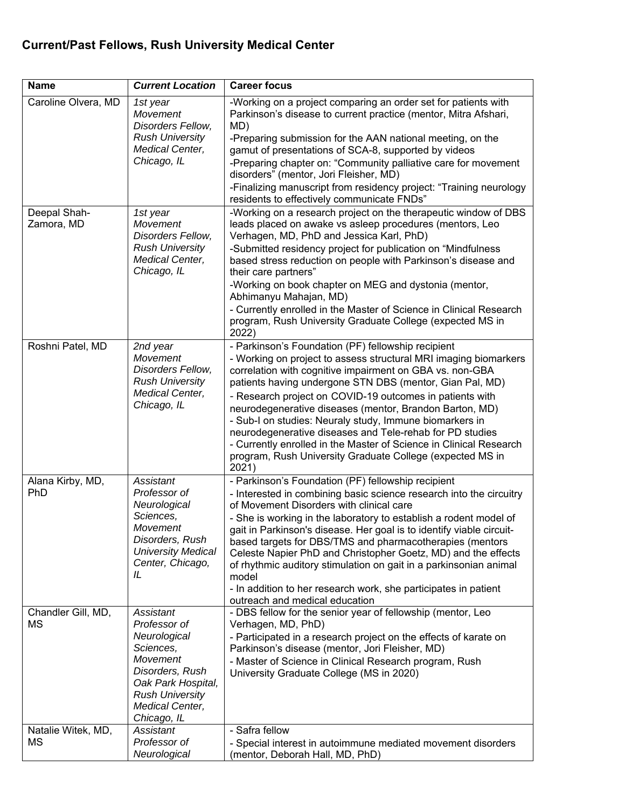## **Current/Past Fellows, Rush University Medical Center**

| <b>Name</b>                     | <b>Current Location</b>                                                                                                                                                 | <b>Career focus</b>                                                                                                                                                                                                                                                                                                                                                                                                                                                                                                                                                                                                                      |
|---------------------------------|-------------------------------------------------------------------------------------------------------------------------------------------------------------------------|------------------------------------------------------------------------------------------------------------------------------------------------------------------------------------------------------------------------------------------------------------------------------------------------------------------------------------------------------------------------------------------------------------------------------------------------------------------------------------------------------------------------------------------------------------------------------------------------------------------------------------------|
| Caroline Olvera, MD             | 1st year<br>Movement<br>Disorders Fellow,<br><b>Rush University</b>                                                                                                     | -Working on a project comparing an order set for patients with<br>Parkinson's disease to current practice (mentor, Mitra Afshari,<br>MD)<br>-Preparing submission for the AAN national meeting, on the                                                                                                                                                                                                                                                                                                                                                                                                                                   |
|                                 | Medical Center,<br>Chicago, IL                                                                                                                                          | gamut of presentations of SCA-8, supported by videos<br>-Preparing chapter on: "Community palliative care for movement                                                                                                                                                                                                                                                                                                                                                                                                                                                                                                                   |
|                                 |                                                                                                                                                                         | disorders" (mentor, Jori Fleisher, MD)<br>-Finalizing manuscript from residency project: "Training neurology                                                                                                                                                                                                                                                                                                                                                                                                                                                                                                                             |
|                                 |                                                                                                                                                                         | residents to effectively communicate FNDs"                                                                                                                                                                                                                                                                                                                                                                                                                                                                                                                                                                                               |
| Deepal Shah-<br>Zamora, MD      | 1st year<br>Movement<br>Disorders Fellow,<br><b>Rush University</b><br>Medical Center,                                                                                  | -Working on a research project on the therapeutic window of DBS<br>leads placed on awake vs asleep procedures (mentors, Leo<br>Verhagen, MD, PhD and Jessica Karl, PhD)<br>-Submitted residency project for publication on "Mindfulness<br>based stress reduction on people with Parkinson's disease and                                                                                                                                                                                                                                                                                                                                 |
|                                 | Chicago, IL                                                                                                                                                             | their care partners"<br>-Working on book chapter on MEG and dystonia (mentor,                                                                                                                                                                                                                                                                                                                                                                                                                                                                                                                                                            |
|                                 |                                                                                                                                                                         | Abhimanyu Mahajan, MD)<br>- Currently enrolled in the Master of Science in Clinical Research<br>program, Rush University Graduate College (expected MS in<br>2022)                                                                                                                                                                                                                                                                                                                                                                                                                                                                       |
| Roshni Patel, MD                | 2nd year<br><b>Movement</b><br>Disorders Fellow,<br><b>Rush University</b><br>Medical Center,<br>Chicago, IL                                                            | - Parkinson's Foundation (PF) fellowship recipient<br>- Working on project to assess structural MRI imaging biomarkers<br>correlation with cognitive impairment on GBA vs. non-GBA<br>patients having undergone STN DBS (mentor, Gian Pal, MD)<br>- Research project on COVID-19 outcomes in patients with<br>neurodegenerative diseases (mentor, Brandon Barton, MD)<br>- Sub-I on studies: Neuraly study, Immune biomarkers in<br>neurodegenerative diseases and Tele-rehab for PD studies<br>- Currently enrolled in the Master of Science in Clinical Research<br>program, Rush University Graduate College (expected MS in<br>2021) |
| Alana Kirby, MD,<br><b>PhD</b>  | Assistant<br>Professor of<br>Neurological<br>Sciences,<br>Movement<br>Disorders, Rush<br><b>University Medical</b><br>Center, Chicago,<br>IL                            | - Parkinson's Foundation (PF) fellowship recipient<br>- Interested in combining basic science research into the circuitry<br>of Movement Disorders with clinical care<br>- She is working in the laboratory to establish a rodent model of<br>gait in Parkinson's disease. Her goal is to identify viable circuit-<br>based targets for DBS/TMS and pharmacotherapies (mentors<br>Celeste Napier PhD and Christopher Goetz, MD) and the effects<br>of rhythmic auditory stimulation on gait in a parkinsonian animal<br>model<br>- In addition to her research work, she participates in patient<br>outreach and medical education       |
| Chandler Gill, MD,<br>ΜS        | Assistant<br>Professor of<br>Neurological<br>Sciences,<br>Movement<br>Disorders, Rush<br>Oak Park Hospital,<br><b>Rush University</b><br>Medical Center,<br>Chicago, IL | - DBS fellow for the senior year of fellowship (mentor, Leo<br>Verhagen, MD, PhD)<br>- Participated in a research project on the effects of karate on<br>Parkinson's disease (mentor, Jori Fleisher, MD)<br>- Master of Science in Clinical Research program, Rush<br>University Graduate College (MS in 2020)                                                                                                                                                                                                                                                                                                                           |
| Natalie Witek, MD,<br><b>MS</b> | Assistant<br>Professor of                                                                                                                                               | - Safra fellow<br>- Special interest in autoimmune mediated movement disorders                                                                                                                                                                                                                                                                                                                                                                                                                                                                                                                                                           |
|                                 | Neurological                                                                                                                                                            | (mentor, Deborah Hall, MD, PhD)                                                                                                                                                                                                                                                                                                                                                                                                                                                                                                                                                                                                          |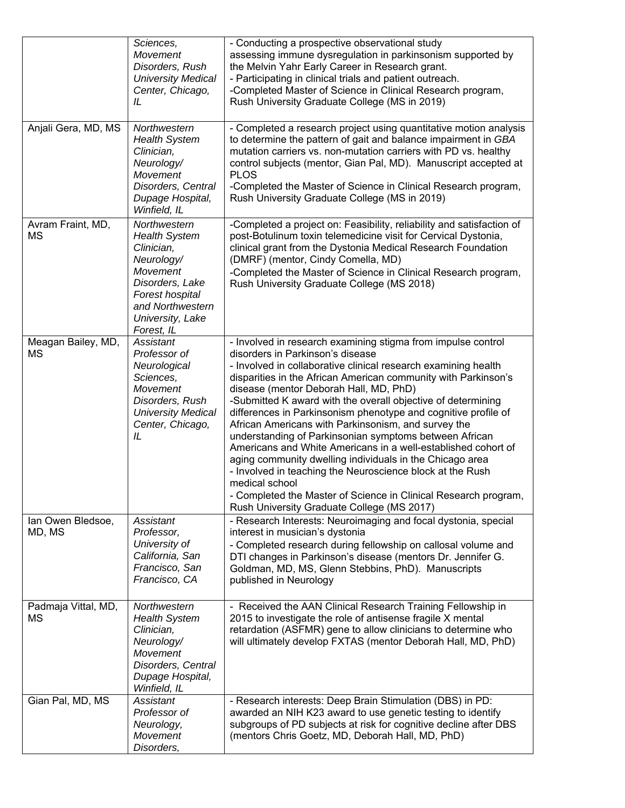|                             | Sciences,<br><b>Movement</b><br>Disorders, Rush<br><b>University Medical</b><br>Center, Chicago,<br>IL                                                                          | - Conducting a prospective observational study<br>assessing immune dysregulation in parkinsonism supported by<br>the Melvin Yahr Early Career in Research grant.<br>- Participating in clinical trials and patient outreach.<br>-Completed Master of Science in Clinical Research program,<br>Rush University Graduate College (MS in 2019)                                                                                                                                                                                                                                                                                                                                                                                                                                                                                                                    |
|-----------------------------|---------------------------------------------------------------------------------------------------------------------------------------------------------------------------------|----------------------------------------------------------------------------------------------------------------------------------------------------------------------------------------------------------------------------------------------------------------------------------------------------------------------------------------------------------------------------------------------------------------------------------------------------------------------------------------------------------------------------------------------------------------------------------------------------------------------------------------------------------------------------------------------------------------------------------------------------------------------------------------------------------------------------------------------------------------|
| Anjali Gera, MD, MS         | Northwestern<br><b>Health System</b><br>Clinician,<br>Neurology/<br><b>Movement</b><br>Disorders, Central<br>Dupage Hospital,<br>Winfield, IL                                   | - Completed a research project using quantitative motion analysis<br>to determine the pattern of gait and balance impairment in GBA<br>mutation carriers vs. non-mutation carriers with PD vs. healthy<br>control subjects (mentor, Gian Pal, MD). Manuscript accepted at<br><b>PLOS</b><br>-Completed the Master of Science in Clinical Research program,<br>Rush University Graduate College (MS in 2019)                                                                                                                                                                                                                                                                                                                                                                                                                                                    |
| Avram Fraint, MD,<br>MS     | Northwestern<br><b>Health System</b><br>Clinician,<br>Neurology/<br><b>Movement</b><br>Disorders, Lake<br>Forest hospital<br>and Northwestern<br>University, Lake<br>Forest, IL | -Completed a project on: Feasibility, reliability and satisfaction of<br>post-Botulinum toxin telemedicine visit for Cervical Dystonia,<br>clinical grant from the Dystonia Medical Research Foundation<br>(DMRF) (mentor, Cindy Comella, MD)<br>-Completed the Master of Science in Clinical Research program,<br>Rush University Graduate College (MS 2018)                                                                                                                                                                                                                                                                                                                                                                                                                                                                                                  |
| Meagan Bailey, MD,<br>MS    | Assistant<br>Professor of<br>Neurological<br>Sciences,<br>Movement<br>Disorders, Rush<br><b>University Medical</b><br>Center, Chicago,<br>IL                                    | - Involved in research examining stigma from impulse control<br>disorders in Parkinson's disease<br>- Involved in collaborative clinical research examining health<br>disparities in the African American community with Parkinson's<br>disease (mentor Deborah Hall, MD, PhD)<br>-Submitted K award with the overall objective of determining<br>differences in Parkinsonism phenotype and cognitive profile of<br>African Americans with Parkinsonism, and survey the<br>understanding of Parkinsonian symptoms between African<br>Americans and White Americans in a well-established cohort of<br>aging community dwelling individuals in the Chicago area<br>- Involved in teaching the Neuroscience block at the Rush<br>medical school<br>- Completed the Master of Science in Clinical Research program,<br>Rush University Graduate College (MS 2017) |
| Ian Owen Bledsoe,<br>MD, MS | Assistant<br>Professor,<br>University of<br>California, San<br>Francisco, San<br>Francisco, CA                                                                                  | - Research Interests: Neuroimaging and focal dystonia, special<br>interest in musician's dystonia<br>- Completed research during fellowship on callosal volume and<br>DTI changes in Parkinson's disease (mentors Dr. Jennifer G.<br>Goldman, MD, MS, Glenn Stebbins, PhD). Manuscripts<br>published in Neurology                                                                                                                                                                                                                                                                                                                                                                                                                                                                                                                                              |
| Padmaja Vittal, MD,<br>МS   | Northwestern<br><b>Health System</b><br>Clinician,<br>Neurology/<br><b>Movement</b><br>Disorders, Central<br>Dupage Hospital,<br>Winfield, IL                                   | - Received the AAN Clinical Research Training Fellowship in<br>2015 to investigate the role of antisense fragile X mental<br>retardation (ASFMR) gene to allow clinicians to determine who<br>will ultimately develop FXTAS (mentor Deborah Hall, MD, PhD)                                                                                                                                                                                                                                                                                                                                                                                                                                                                                                                                                                                                     |
| Gian Pal, MD, MS            | Assistant<br>Professor of<br>Neurology,<br>Movement<br>Disorders,                                                                                                               | - Research interests: Deep Brain Stimulation (DBS) in PD:<br>awarded an NIH K23 award to use genetic testing to identify<br>subgroups of PD subjects at risk for cognitive decline after DBS<br>(mentors Chris Goetz, MD, Deborah Hall, MD, PhD)                                                                                                                                                                                                                                                                                                                                                                                                                                                                                                                                                                                                               |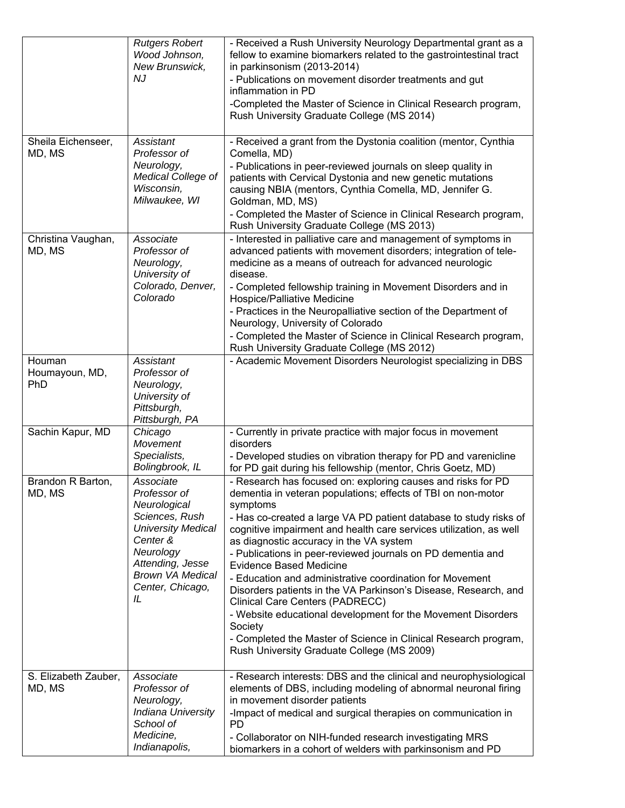|                                 | <b>Rutgers Robert</b><br>Wood Johnson,<br>New Brunswick,<br><b>NJ</b>                                                                                                                      | - Received a Rush University Neurology Departmental grant as a<br>fellow to examine biomarkers related to the gastrointestinal tract<br>in parkinsonism (2013-2014)<br>- Publications on movement disorder treatments and gut<br>inflammation in PD<br>-Completed the Master of Science in Clinical Research program,<br>Rush University Graduate College (MS 2014)                                                                                                                                                                                                                                                                                                                                                                                                                           |
|---------------------------------|--------------------------------------------------------------------------------------------------------------------------------------------------------------------------------------------|-----------------------------------------------------------------------------------------------------------------------------------------------------------------------------------------------------------------------------------------------------------------------------------------------------------------------------------------------------------------------------------------------------------------------------------------------------------------------------------------------------------------------------------------------------------------------------------------------------------------------------------------------------------------------------------------------------------------------------------------------------------------------------------------------|
| Sheila Eichenseer,<br>MD, MS    | Assistant<br>Professor of<br>Neurology,<br>Medical College of<br>Wisconsin,<br>Milwaukee, WI                                                                                               | - Received a grant from the Dystonia coalition (mentor, Cynthia<br>Comella, MD)<br>- Publications in peer-reviewed journals on sleep quality in<br>patients with Cervical Dystonia and new genetic mutations<br>causing NBIA (mentors, Cynthia Comella, MD, Jennifer G.<br>Goldman, MD, MS)<br>- Completed the Master of Science in Clinical Research program,<br>Rush University Graduate College (MS 2013)                                                                                                                                                                                                                                                                                                                                                                                  |
| Christina Vaughan,<br>MD, MS    | Associate<br>Professor of<br>Neurology,<br>University of<br>Colorado, Denver,<br>Colorado                                                                                                  | - Interested in palliative care and management of symptoms in<br>advanced patients with movement disorders; integration of tele-<br>medicine as a means of outreach for advanced neurologic<br>disease.<br>- Completed fellowship training in Movement Disorders and in<br>Hospice/Palliative Medicine<br>- Practices in the Neuropalliative section of the Department of<br>Neurology, University of Colorado<br>- Completed the Master of Science in Clinical Research program,<br>Rush University Graduate College (MS 2012)                                                                                                                                                                                                                                                               |
| Houman<br>Houmayoun, MD,<br>PhD | Assistant<br>Professor of<br>Neurology,<br>University of<br>Pittsburgh,<br>Pittsburgh, PA                                                                                                  | - Academic Movement Disorders Neurologist specializing in DBS                                                                                                                                                                                                                                                                                                                                                                                                                                                                                                                                                                                                                                                                                                                                 |
| Sachin Kapur, MD                | Chicago<br><b>Movement</b><br>Specialists,<br>Bolingbrook, IL                                                                                                                              | - Currently in private practice with major focus in movement<br>disorders<br>- Developed studies on vibration therapy for PD and varenicline<br>for PD gait during his fellowship (mentor, Chris Goetz, MD)                                                                                                                                                                                                                                                                                                                                                                                                                                                                                                                                                                                   |
| Brandon R Barton,<br>MD, MS     | Associate<br>Professor of<br>Neurological<br>Sciences, Rush<br><b>University Medical</b><br>Center &<br>Neurology<br>Attending, Jesse<br><b>Brown VA Medical</b><br>Center, Chicago,<br>IL | - Research has focused on: exploring causes and risks for PD<br>dementia in veteran populations; effects of TBI on non-motor<br>symptoms<br>- Has co-created a large VA PD patient database to study risks of<br>cognitive impairment and health care services utilization, as well<br>as diagnostic accuracy in the VA system<br>- Publications in peer-reviewed journals on PD dementia and<br><b>Evidence Based Medicine</b><br>- Education and administrative coordination for Movement<br>Disorders patients in the VA Parkinson's Disease, Research, and<br>Clinical Care Centers (PADRECC)<br>- Website educational development for the Movement Disorders<br>Society<br>- Completed the Master of Science in Clinical Research program,<br>Rush University Graduate College (MS 2009) |
| S. Elizabeth Zauber,<br>MD, MS  | Associate<br>Professor of<br>Neurology,<br><b>Indiana University</b><br>School of<br>Medicine,<br>Indianapolis,                                                                            | - Research interests: DBS and the clinical and neurophysiological<br>elements of DBS, including modeling of abnormal neuronal firing<br>in movement disorder patients<br>-Impact of medical and surgical therapies on communication in<br><b>PD</b><br>- Collaborator on NIH-funded research investigating MRS<br>biomarkers in a cohort of welders with parkinsonism and PD                                                                                                                                                                                                                                                                                                                                                                                                                  |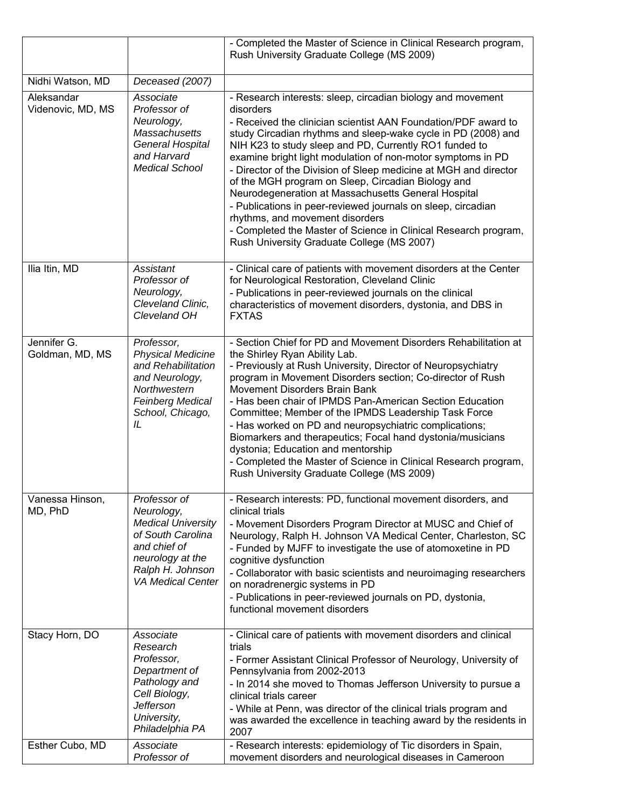|                                   |                                                                                                                                                                  | - Completed the Master of Science in Clinical Research program,<br>Rush University Graduate College (MS 2009)                                                                                                                                                                                                                                                                                                                                                                                                                                                                                                                                                                                                                             |
|-----------------------------------|------------------------------------------------------------------------------------------------------------------------------------------------------------------|-------------------------------------------------------------------------------------------------------------------------------------------------------------------------------------------------------------------------------------------------------------------------------------------------------------------------------------------------------------------------------------------------------------------------------------------------------------------------------------------------------------------------------------------------------------------------------------------------------------------------------------------------------------------------------------------------------------------------------------------|
| Nidhi Watson, MD                  | Deceased (2007)                                                                                                                                                  |                                                                                                                                                                                                                                                                                                                                                                                                                                                                                                                                                                                                                                                                                                                                           |
| Aleksandar<br>Videnovic, MD, MS   | Associate<br>Professor of<br>Neurology,<br>Massachusetts<br>General Hospital<br>and Harvard<br><b>Medical School</b>                                             | - Research interests: sleep, circadian biology and movement<br>disorders<br>- Received the clinician scientist AAN Foundation/PDF award to<br>study Circadian rhythms and sleep-wake cycle in PD (2008) and<br>NIH K23 to study sleep and PD, Currently RO1 funded to<br>examine bright light modulation of non-motor symptoms in PD<br>- Director of the Division of Sleep medicine at MGH and director<br>of the MGH program on Sleep, Circadian Biology and<br>Neurodegeneration at Massachusetts General Hospital<br>- Publications in peer-reviewed journals on sleep, circadian<br>rhythms, and movement disorders<br>- Completed the Master of Science in Clinical Research program,<br>Rush University Graduate College (MS 2007) |
| Ilia Itin, MD                     | Assistant<br>Professor of<br>Neurology,<br>Cleveland Clinic,<br>Cleveland OH                                                                                     | - Clinical care of patients with movement disorders at the Center<br>for Neurological Restoration, Cleveland Clinic<br>- Publications in peer-reviewed journals on the clinical<br>characteristics of movement disorders, dystonia, and DBS in<br><b>FXTAS</b>                                                                                                                                                                                                                                                                                                                                                                                                                                                                            |
| Jennifer G.<br>Goldman, MD, MS    | Professor,<br><b>Physical Medicine</b><br>and Rehabilitation<br>and Neurology,<br>Northwestern<br><b>Feinberg Medical</b><br>School, Chicago,<br>IL              | - Section Chief for PD and Movement Disorders Rehabilitation at<br>the Shirley Ryan Ability Lab.<br>- Previously at Rush University, Director of Neuropsychiatry<br>program in Movement Disorders section; Co-director of Rush<br>Movement Disorders Brain Bank<br>- Has been chair of IPMDS Pan-American Section Education<br>Committee; Member of the IPMDS Leadership Task Force<br>- Has worked on PD and neuropsychiatric complications;<br>Biomarkers and therapeutics; Focal hand dystonia/musicians<br>dystonia; Education and mentorship<br>- Completed the Master of Science in Clinical Research program,<br>Rush University Graduate College (MS 2009)                                                                        |
| Vanessa Hinson,<br>MD, PhD        | Professor of<br>Neurology,<br><b>Medical University</b><br>of South Carolina<br>and chief of<br>neurology at the<br>Ralph H. Johnson<br><b>VA Medical Center</b> | - Research interests: PD, functional movement disorders, and<br>clinical trials<br>- Movement Disorders Program Director at MUSC and Chief of<br>Neurology, Ralph H. Johnson VA Medical Center, Charleston, SC<br>- Funded by MJFF to investigate the use of atomoxetine in PD<br>cognitive dysfunction<br>- Collaborator with basic scientists and neuroimaging researchers<br>on noradrenergic systems in PD<br>- Publications in peer-reviewed journals on PD, dystonia,<br>functional movement disorders                                                                                                                                                                                                                              |
| Stacy Horn, DO<br>Esther Cubo, MD | Associate<br>Research<br>Professor,<br>Department of<br>Pathology and<br>Cell Biology,<br><b>Jefferson</b><br>University,<br>Philadelphia PA<br>Associate        | - Clinical care of patients with movement disorders and clinical<br>trials<br>- Former Assistant Clinical Professor of Neurology, University of<br>Pennsylvania from 2002-2013<br>- In 2014 she moved to Thomas Jefferson University to pursue a<br>clinical trials career<br>- While at Penn, was director of the clinical trials program and<br>was awarded the excellence in teaching award by the residents in<br>2007<br>- Research interests: epidemiology of Tic disorders in Spain,                                                                                                                                                                                                                                               |
|                                   | Professor of                                                                                                                                                     | movement disorders and neurological diseases in Cameroon                                                                                                                                                                                                                                                                                                                                                                                                                                                                                                                                                                                                                                                                                  |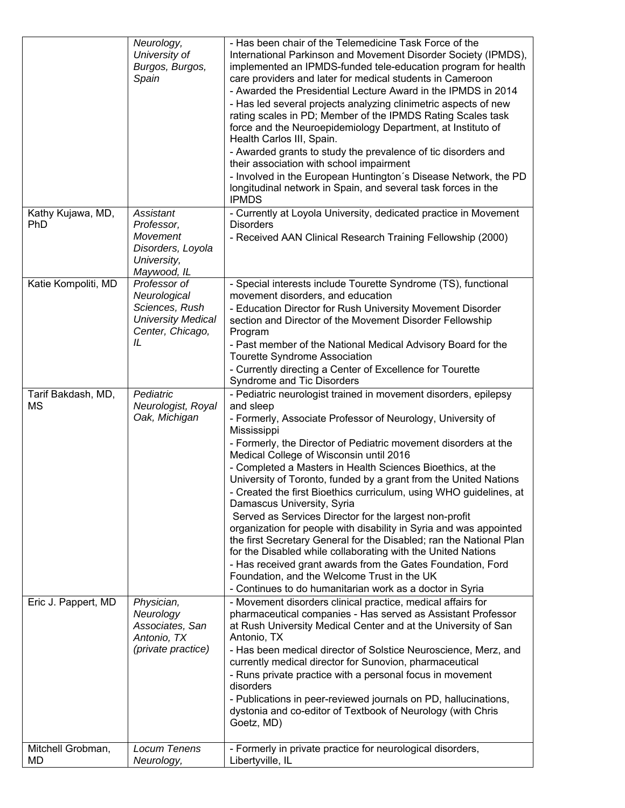|                          | Neurology,<br>University of<br>Burgos, Burgos,<br>Spain                                               | - Has been chair of the Telemedicine Task Force of the<br>International Parkinson and Movement Disorder Society (IPMDS),<br>implemented an IPMDS-funded tele-education program for health<br>care providers and later for medical students in Cameroon<br>- Awarded the Presidential Lecture Award in the IPMDS in 2014<br>- Has led several projects analyzing clinimetric aspects of new<br>rating scales in PD; Member of the IPMDS Rating Scales task<br>force and the Neuroepidemiology Department, at Instituto of<br>Health Carlos III, Spain.<br>- Awarded grants to study the prevalence of tic disorders and<br>their association with school impairment<br>- Involved in the European Huntington's Disease Network, the PD<br>longitudinal network in Spain, and several task forces in the<br><b>IPMDS</b>                                                                                                                                          |
|--------------------------|-------------------------------------------------------------------------------------------------------|-----------------------------------------------------------------------------------------------------------------------------------------------------------------------------------------------------------------------------------------------------------------------------------------------------------------------------------------------------------------------------------------------------------------------------------------------------------------------------------------------------------------------------------------------------------------------------------------------------------------------------------------------------------------------------------------------------------------------------------------------------------------------------------------------------------------------------------------------------------------------------------------------------------------------------------------------------------------|
| Kathy Kujawa, MD,<br>PhD | Assistant<br>Professor,<br><b>Movement</b><br>Disorders, Loyola<br>University,<br>Maywood, IL         | - Currently at Loyola University, dedicated practice in Movement<br><b>Disorders</b><br>- Received AAN Clinical Research Training Fellowship (2000)                                                                                                                                                                                                                                                                                                                                                                                                                                                                                                                                                                                                                                                                                                                                                                                                             |
| Katie Kompoliti, MD      | Professor of<br>Neurological<br>Sciences, Rush<br><b>University Medical</b><br>Center, Chicago,<br>IL | - Special interests include Tourette Syndrome (TS), functional<br>movement disorders, and education<br>- Education Director for Rush University Movement Disorder<br>section and Director of the Movement Disorder Fellowship<br>Program<br>- Past member of the National Medical Advisory Board for the<br>Tourette Syndrome Association<br>- Currently directing a Center of Excellence for Tourette<br>Syndrome and Tic Disorders                                                                                                                                                                                                                                                                                                                                                                                                                                                                                                                            |
| Tarif Bakdash, MD,<br>ΜS | Pediatric<br>Neurologist, Royal<br>Oak, Michigan                                                      | - Pediatric neurologist trained in movement disorders, epilepsy<br>and sleep<br>- Formerly, Associate Professor of Neurology, University of<br>Mississippi<br>- Formerly, the Director of Pediatric movement disorders at the<br>Medical College of Wisconsin until 2016<br>- Completed a Masters in Health Sciences Bioethics, at the<br>University of Toronto, funded by a grant from the United Nations<br>- Created the first Bioethics curriculum, using WHO guidelines, at<br>Damascus University, Syria<br>Served as Services Director for the largest non-profit<br>organization for people with disability in Syria and was appointed<br>the first Secretary General for the Disabled; ran the National Plan<br>for the Disabled while collaborating with the United Nations<br>- Has received grant awards from the Gates Foundation, Ford<br>Foundation, and the Welcome Trust in the UK<br>- Continues to do humanitarian work as a doctor in Syria |
| Eric J. Pappert, MD      | Physician,<br>Neurology<br>Associates, San<br>Antonio, TX<br>(private practice)                       | - Movement disorders clinical practice, medical affairs for<br>pharmaceutical companies - Has served as Assistant Professor<br>at Rush University Medical Center and at the University of San<br>Antonio, TX<br>- Has been medical director of Solstice Neuroscience, Merz, and<br>currently medical director for Sunovion, pharmaceutical<br>- Runs private practice with a personal focus in movement<br>disorders<br>- Publications in peer-reviewed journals on PD, hallucinations,<br>dystonia and co-editor of Textbook of Neurology (with Chris<br>Goetz, MD)                                                                                                                                                                                                                                                                                                                                                                                            |
| Mitchell Grobman,<br>MD  | Locum Tenens<br>Neurology,                                                                            | - Formerly in private practice for neurological disorders,<br>Libertyville, IL                                                                                                                                                                                                                                                                                                                                                                                                                                                                                                                                                                                                                                                                                                                                                                                                                                                                                  |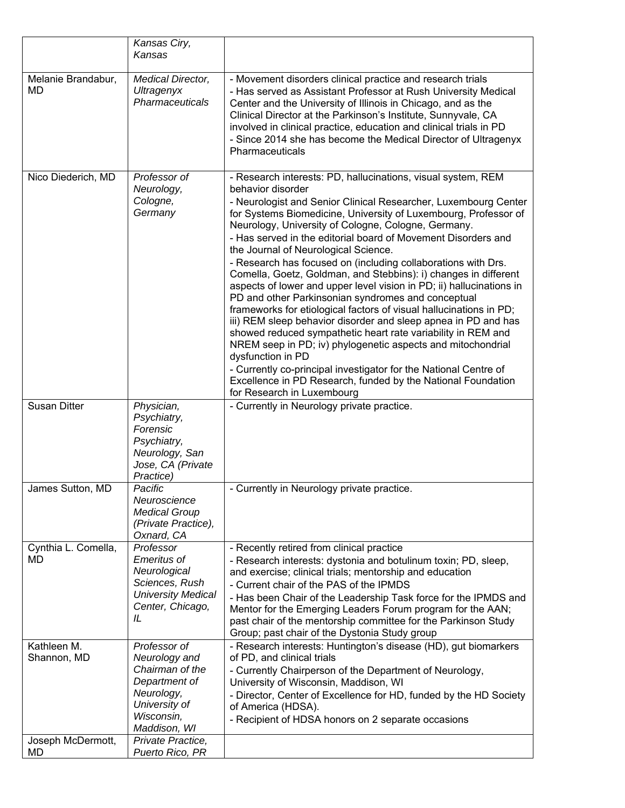|                            | Kansas Ciry,<br>Kansas                                                                                                    |                                                                                                                                                                                                                                                                                                                                                                                                                                                                                                                                                                                                                                                                                                                                                                                                                                                                                                                                                                                                                                                                                                                         |
|----------------------------|---------------------------------------------------------------------------------------------------------------------------|-------------------------------------------------------------------------------------------------------------------------------------------------------------------------------------------------------------------------------------------------------------------------------------------------------------------------------------------------------------------------------------------------------------------------------------------------------------------------------------------------------------------------------------------------------------------------------------------------------------------------------------------------------------------------------------------------------------------------------------------------------------------------------------------------------------------------------------------------------------------------------------------------------------------------------------------------------------------------------------------------------------------------------------------------------------------------------------------------------------------------|
| Melanie Brandabur,<br>MD   | Medical Director,<br>Ultragenyx<br>Pharmaceuticals                                                                        | - Movement disorders clinical practice and research trials<br>- Has served as Assistant Professor at Rush University Medical<br>Center and the University of Illinois in Chicago, and as the<br>Clinical Director at the Parkinson's Institute, Sunnyvale, CA<br>involved in clinical practice, education and clinical trials in PD<br>- Since 2014 she has become the Medical Director of Ultragenyx<br>Pharmaceuticals                                                                                                                                                                                                                                                                                                                                                                                                                                                                                                                                                                                                                                                                                                |
| Nico Diederich, MD         | Professor of<br>Neurology,<br>Cologne,<br>Germany                                                                         | - Research interests: PD, hallucinations, visual system, REM<br>behavior disorder<br>- Neurologist and Senior Clinical Researcher, Luxembourg Center<br>for Systems Biomedicine, University of Luxembourg, Professor of<br>Neurology, University of Cologne, Cologne, Germany.<br>- Has served in the editorial board of Movement Disorders and<br>the Journal of Neurological Science.<br>- Research has focused on (including collaborations with Drs.<br>Comella, Goetz, Goldman, and Stebbins): i) changes in different<br>aspects of lower and upper level vision in PD; ii) hallucinations in<br>PD and other Parkinsonian syndromes and conceptual<br>frameworks for etiological factors of visual hallucinations in PD;<br>iii) REM sleep behavior disorder and sleep apnea in PD and has<br>showed reduced sympathetic heart rate variability in REM and<br>NREM seep in PD; iv) phylogenetic aspects and mitochondrial<br>dysfunction in PD<br>- Currently co-principal investigator for the National Centre of<br>Excellence in PD Research, funded by the National Foundation<br>for Research in Luxembourg |
| <b>Susan Ditter</b>        | Physician,<br>Psychiatry,<br>Forensic<br>Psychiatry,<br>Neurology, San<br>Jose, CA (Private<br>Practice)                  | - Currently in Neurology private practice.                                                                                                                                                                                                                                                                                                                                                                                                                                                                                                                                                                                                                                                                                                                                                                                                                                                                                                                                                                                                                                                                              |
| James Sutton, MD           | Pacific<br>Neuroscience<br><b>Medical Group</b><br>(Private Practice),<br>Oxnard, CA                                      | - Currently in Neurology private practice.                                                                                                                                                                                                                                                                                                                                                                                                                                                                                                                                                                                                                                                                                                                                                                                                                                                                                                                                                                                                                                                                              |
| Cynthia L. Comella,<br>MD  | Professor<br><b>Emeritus of</b><br>Neurological<br>Sciences, Rush<br><b>University Medical</b><br>Center, Chicago,<br>IL. | - Recently retired from clinical practice<br>- Research interests: dystonia and botulinum toxin; PD, sleep,<br>and exercise; clinical trials; mentorship and education<br>- Current chair of the PAS of the IPMDS<br>- Has been Chair of the Leadership Task force for the IPMDS and<br>Mentor for the Emerging Leaders Forum program for the AAN;<br>past chair of the mentorship committee for the Parkinson Study<br>Group; past chair of the Dystonia Study group                                                                                                                                                                                                                                                                                                                                                                                                                                                                                                                                                                                                                                                   |
| Kathleen M.<br>Shannon, MD | Professor of<br>Neurology and<br>Chairman of the<br>Department of<br>Neurology,                                           | - Research interests: Huntington's disease (HD), gut biomarkers<br>of PD, and clinical trials<br>- Currently Chairperson of the Department of Neurology,<br>University of Wisconsin, Maddison, WI<br>- Director, Center of Excellence for HD, funded by the HD Society                                                                                                                                                                                                                                                                                                                                                                                                                                                                                                                                                                                                                                                                                                                                                                                                                                                  |
| Joseph McDermott,          | University of<br>Wisconsin,<br>Maddison, WI<br>Private Practice,                                                          | of America (HDSA).<br>- Recipient of HDSA honors on 2 separate occasions                                                                                                                                                                                                                                                                                                                                                                                                                                                                                                                                                                                                                                                                                                                                                                                                                                                                                                                                                                                                                                                |